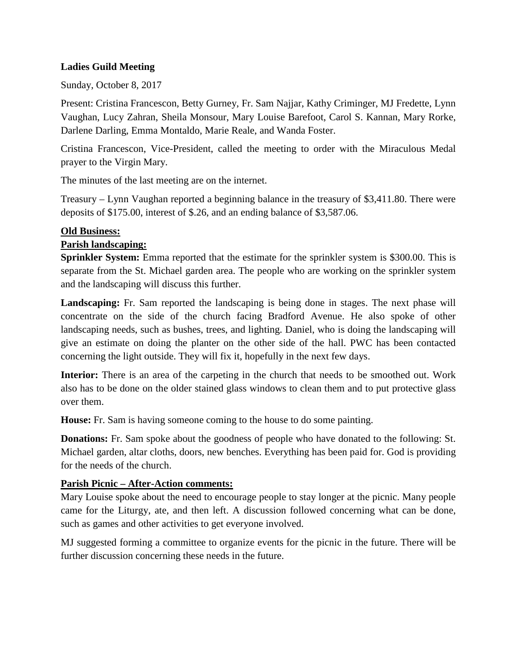### **Ladies Guild Meeting**

Sunday, October 8, 2017

Present: Cristina Francescon, Betty Gurney, Fr. Sam Najjar, Kathy Criminger, MJ Fredette, Lynn Vaughan, Lucy Zahran, Sheila Monsour, Mary Louise Barefoot, Carol S. Kannan, Mary Rorke, Darlene Darling, Emma Montaldo, Marie Reale, and Wanda Foster.

Cristina Francescon, Vice-President, called the meeting to order with the Miraculous Medal prayer to the Virgin Mary.

The minutes of the last meeting are on the internet.

Treasury – Lynn Vaughan reported a beginning balance in the treasury of \$3,411.80. There were deposits of \$175.00, interest of \$.26, and an ending balance of \$3,587.06.

#### **Old Business:**

### **Parish landscaping:**

**Sprinkler System:** Emma reported that the estimate for the sprinkler system is \$300.00. This is separate from the St. Michael garden area. The people who are working on the sprinkler system and the landscaping will discuss this further.

**Landscaping:** Fr. Sam reported the landscaping is being done in stages. The next phase will concentrate on the side of the church facing Bradford Avenue. He also spoke of other landscaping needs, such as bushes, trees, and lighting. Daniel, who is doing the landscaping will give an estimate on doing the planter on the other side of the hall. PWC has been contacted concerning the light outside. They will fix it, hopefully in the next few days.

**Interior:** There is an area of the carpeting in the church that needs to be smoothed out. Work also has to be done on the older stained glass windows to clean them and to put protective glass over them.

**House:** Fr. Sam is having someone coming to the house to do some painting.

**Donations:** Fr. Sam spoke about the goodness of people who have donated to the following: St. Michael garden, altar cloths, doors, new benches. Everything has been paid for. God is providing for the needs of the church.

### **Parish Picnic – After-Action comments:**

Mary Louise spoke about the need to encourage people to stay longer at the picnic. Many people came for the Liturgy, ate, and then left. A discussion followed concerning what can be done, such as games and other activities to get everyone involved.

MJ suggested forming a committee to organize events for the picnic in the future. There will be further discussion concerning these needs in the future.